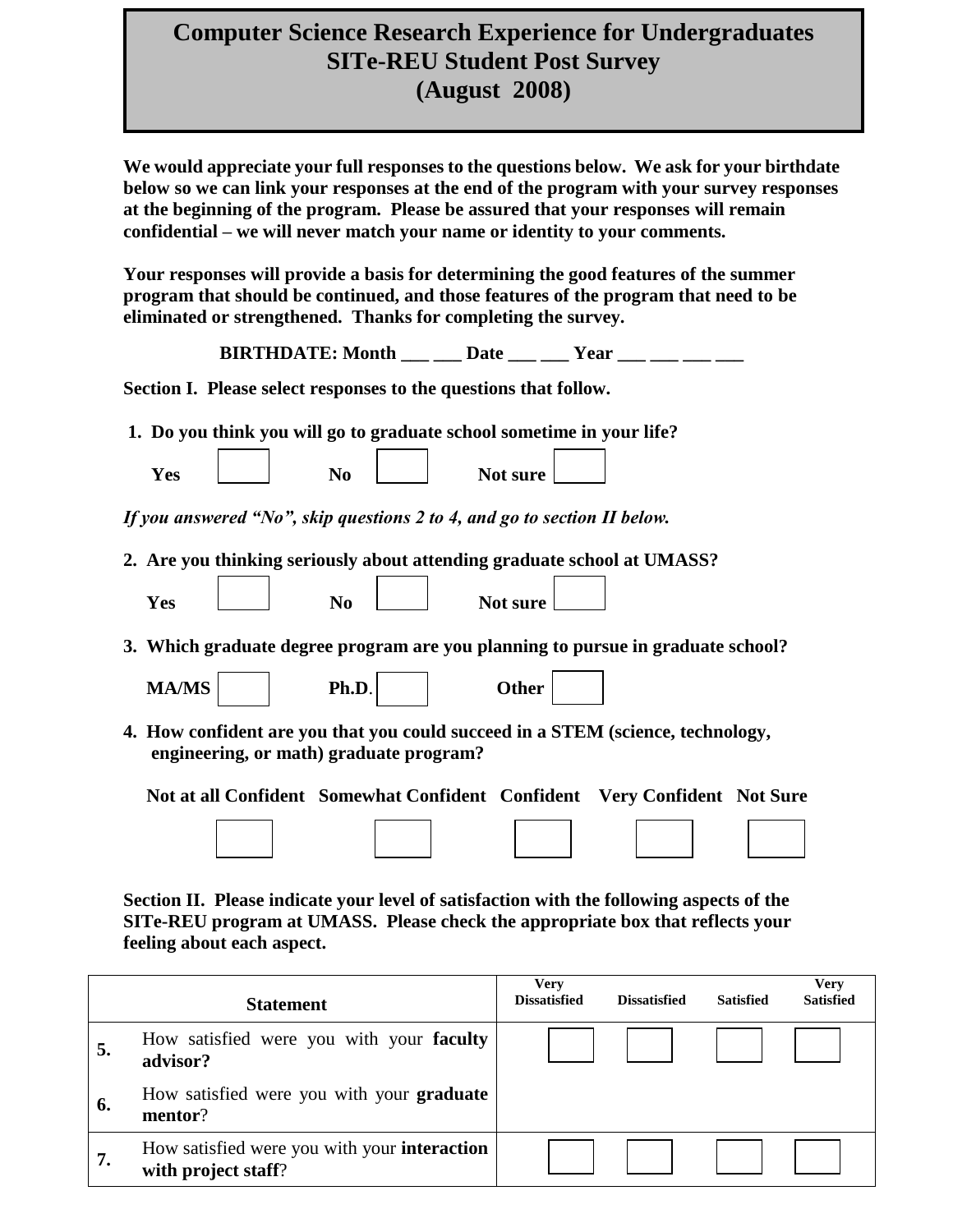## **Computer Science Research Experience for Undergraduates SITe-REU Student Post Survey (August 2008)**

**We would appreciate your full responses to the questions below. We ask for your birthdate below so we can link your responses at the end of the program with your survey responses at the beginning of the program. Please be assured that your responses will remain confidential – we will never match your name or identity to your comments.** 

**Your responses will provide a basis for determining the good features of the summer program that should be continued, and those features of the program that need to be eliminated or strengthened. Thanks for completing the survey.** 

|              |                                                                                                                                                                     |          | BIRTHDATE: Month $\rule{1em}{0.15mm}$ Date $\rule{1.15mm}{0.15mm}$ $\rule{1.15mm}{0.15mm}$ Year $\rule{1.15mm}{0.15mm}$ Year $\rule{1.15mm}{0.15mm}$ |  |
|--------------|---------------------------------------------------------------------------------------------------------------------------------------------------------------------|----------|------------------------------------------------------------------------------------------------------------------------------------------------------|--|
|              | Section I. Please select responses to the questions that follow.                                                                                                    |          |                                                                                                                                                      |  |
|              | 1. Do you think you will go to graduate school sometime in your life?                                                                                               |          |                                                                                                                                                      |  |
| Yes          | N <sub>0</sub>                                                                                                                                                      | Not sure |                                                                                                                                                      |  |
|              | If you answered "No", skip questions 2 to 4, and go to section II below.                                                                                            |          |                                                                                                                                                      |  |
|              | 2. Are you thinking seriously about attending graduate school at UMASS?                                                                                             |          |                                                                                                                                                      |  |
| Yes          | N <sub>0</sub>                                                                                                                                                      | Not sure |                                                                                                                                                      |  |
|              |                                                                                                                                                                     |          | 3. Which graduate degree program are you planning to pursue in graduate school?                                                                      |  |
| <b>MA/MS</b> | Ph.D.                                                                                                                                                               | Other    |                                                                                                                                                      |  |
|              | engineering, or math) graduate program?                                                                                                                             |          | 4. How confident are you that you could succeed in a STEM (science, technology,                                                                      |  |
|              |                                                                                                                                                                     |          | Not at all Confident Somewhat Confident Confident Very Confident Not Sure                                                                            |  |
|              |                                                                                                                                                                     |          |                                                                                                                                                      |  |
|              | $\mathbf{D1}$ , $\mathbf{P}$ , $\mathbf{P}$ , $\mathbf{A}$ , $\mathbf{P}$ , $\mathbf{I}$ , $\mathbf{P}$ , $\mathbf{P}$ , $\mathbf{P}$ , $\mathbf{A}$ , $\mathbf{P}$ |          | 941. AL . - A. 11                                                                                                                                    |  |

**Section II. Please indicate your level of satisfaction with the following aspects of the SITe-REU program at UMASS. Please check the appropriate box that reflects your feeling about each aspect.**

|    | <b>Statement</b>                                                    | Very<br><b>Dissatisfied</b> | <b>Dissatisfied</b> | <b>Satisfied</b> | <b>Verv</b><br><b>Satisfied</b> |
|----|---------------------------------------------------------------------|-----------------------------|---------------------|------------------|---------------------------------|
| 5. | How satisfied were you with your faculty<br>advisor?                |                             |                     |                  |                                 |
| 6. | How satisfied were you with your <b>graduate</b><br>mentor?         |                             |                     |                  |                                 |
| 7. | How satisfied were you with your interaction<br>with project staff? |                             |                     |                  |                                 |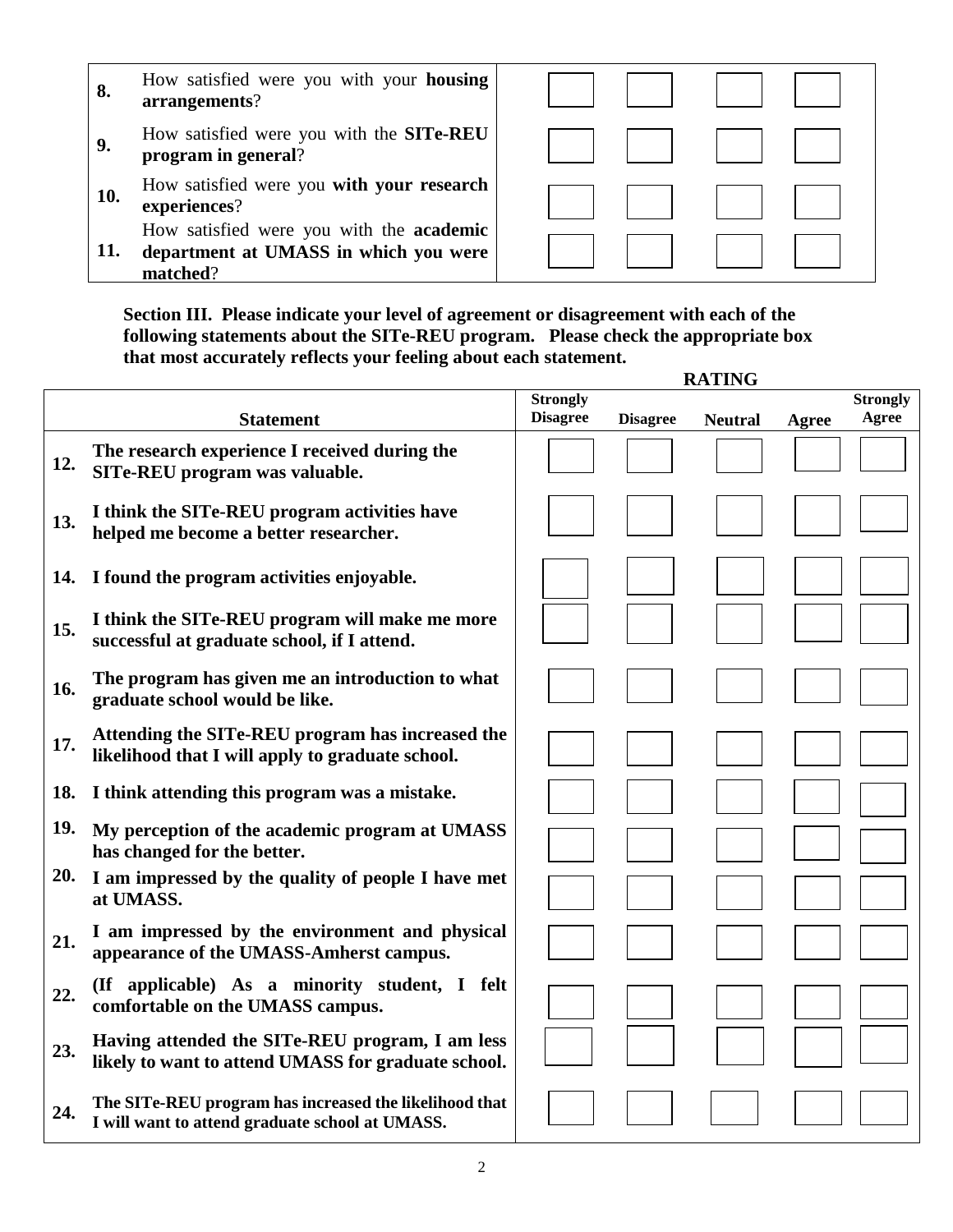- **8.** How satisfied were you with your **housing arrangements**?
- **9.** How satisfied were you with the **SITe-REU program in general**?
- **10.** How satisfied were you **with your research experiences**?
- **11.** How satisfied were you with the **academic department at UMASS in which you were matched**?



**Section III. Please indicate your level of agreement or disagreement with each of the following statements about the SITe-REU program. Please check the appropriate box that most accurately reflects your feeling about each statement. RATING**

|     |                                                                                                           | <b>Strongly</b> |                 |                |       | <b>Strongly</b> |
|-----|-----------------------------------------------------------------------------------------------------------|-----------------|-----------------|----------------|-------|-----------------|
|     | <b>Statement</b>                                                                                          | <b>Disagree</b> | <b>Disagree</b> | <b>Neutral</b> | Agree | Agree           |
| 12. | The research experience I received during the<br>SITe-REU program was valuable.                           |                 |                 |                |       |                 |
| 13. | I think the SITe-REU program activities have<br>helped me become a better researcher.                     |                 |                 |                |       |                 |
| 14. | I found the program activities enjoyable.                                                                 |                 |                 |                |       |                 |
| 15. | I think the SITe-REU program will make me more<br>successful at graduate school, if I attend.             |                 |                 |                |       |                 |
| 16. | The program has given me an introduction to what<br>graduate school would be like.                        |                 |                 |                |       |                 |
| 17. | Attending the SITe-REU program has increased the<br>likelihood that I will apply to graduate school.      |                 |                 |                |       |                 |
| 18. | I think attending this program was a mistake.                                                             |                 |                 |                |       |                 |
| 19. | My perception of the academic program at UMASS<br>has changed for the better.                             |                 |                 |                |       |                 |
| 20. | I am impressed by the quality of people I have met<br>at UMASS.                                           |                 |                 |                |       |                 |
| 21. | I am impressed by the environment and physical<br>appearance of the UMASS-Amherst campus.                 |                 |                 |                |       |                 |
| 22. | (If applicable) As a minority student, I felt<br>comfortable on the UMASS campus.                         |                 |                 |                |       |                 |
| 23. | Having attended the SITe-REU program, I am less<br>likely to want to attend UMASS for graduate school.    |                 |                 |                |       |                 |
| 24. | The SITe-REU program has increased the likelihood that<br>I will want to attend graduate school at UMASS. |                 |                 |                |       |                 |